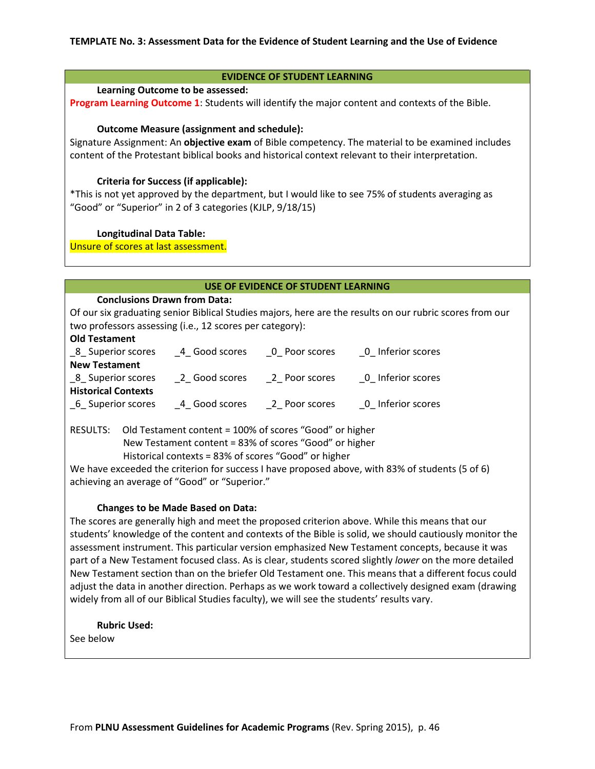# **EVIDENCE OF STUDENT LEARNING**

#### **Learning Outcome to be assessed:**

**Program Learning Outcome 1:** Students will identify the major content and contexts of the Bible.

#### **Outcome Measure (assignment and schedule):**

Signature Assignment: An **objective exam** of Bible competency. The material to be examined includes content of the Protestant biblical books and historical context relevant to their interpretation.

## **Criteria for Success (if applicable):**

\*This is not yet approved by the department, but I would like to see 75% of students averaging as "Good" or "Superior" in 2 of 3 categories (KJLP, 9/18/15)

#### **Longitudinal Data Table:**

Unsure of scores at last assessment.

## **USE OF EVIDENCE OF STUDENT LEARNING**

#### **Conclusions Drawn from Data:**

Of our six graduating senior Biblical Studies majors, here are the results on our rubric scores from our two professors assessing (i.e., 12 scores per category):

#### **Old Testament**

| 8 Superior scores          | 4 Good scores | 0 Poor scores | 0 Inferior scores |
|----------------------------|---------------|---------------|-------------------|
| <b>New Testament</b>       |               |               |                   |
| 8 Superior scores          | 2 Good scores | 2 Poor scores | 0 Inferior scores |
| <b>Historical Contexts</b> |               |               |                   |
| 6 Superior scores          | 4 Good scores | 2 Poor scores | 0 Inferior scores |

RESULTS: Old Testament content = 100% of scores "Good" or higher New Testament content = 83% of scores "Good" or higher Historical contexts = 83% of scores "Good" or higher

We have exceeded the criterion for success I have proposed above, with 83% of students (5 of 6) achieving an average of "Good" or "Superior."

# **Changes to be Made Based on Data:**

The scores are generally high and meet the proposed criterion above. While this means that our students' knowledge of the content and contexts of the Bible is solid, we should cautiously monitor the assessment instrument. This particular version emphasized New Testament concepts, because it was part of a New Testament focused class. As is clear, students scored slightly *lower* on the more detailed New Testament section than on the briefer Old Testament one. This means that a different focus could adjust the data in another direction. Perhaps as we work toward a collectively designed exam (drawing widely from all of our Biblical Studies faculty), we will see the students' results vary.

**Rubric Used:**  See below